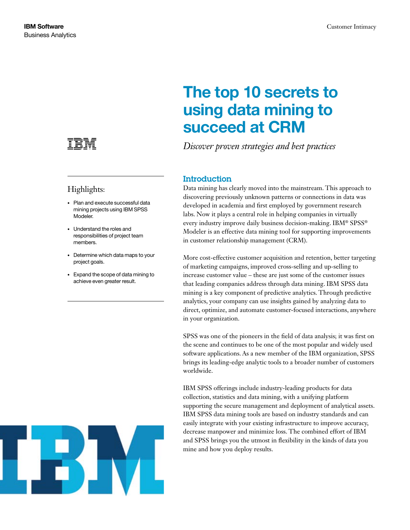

# Highlights:

- • Plan and execute successful data mining projects using IBM SPSS Modeler.
- • Understand the roles and responsibilities of project team members.
- Determine which data maps to your project goals.
- • Expand the scope of data mining to achieve even greater result.



#### **IBM Software** Customer Intimacy

# The top 10 secrets to using data mining to succeed at CRM

*Discover proven strategies and best practices*

# Introduction

Data mining has clearly moved into the mainstream. This approach to discovering previously unknown patterns or connections in data was developed in academia and first employed by government research labs. Now it plays a central role in helping companies in virtually every industry improve daily business decision-making. IBM® SPSS® Modeler is an effective data mining tool for supporting improvements in customer relationship management (CRM).

More cost-effective customer acquisition and retention, better targeting of marketing campaigns, improved cross-selling and up-selling to increase customer value – these are just some of the customer issues that leading companies address through data mining. IBM SPSS data mining is a key component of predictive analytics. Through predictive analytics, your company can use insights gained by analyzing data to direct, optimize, and automate customer-focused interactions, anywhere in your organization.

SPSS was one of the pioneers in the field of data analysis; it was first on the scene and continues to be one of the most popular and widely used software applications. As a new member of the IBM organization, SPSS brings its leading-edge analytic tools to a broader number of customers worldwide.

IBM SPSS offerings include industry-leading products for data collection, statistics and data mining, with a unifying platform supporting the secure management and deployment of analytical assets. IBM SPSS data mining tools are based on industry standards and can easily integrate with your existing infrastructure to improve accuracy, decrease manpower and minimize loss. The combined effort of IBM and SPSS brings you the utmost in flexibility in the kinds of data you mine and how you deploy results.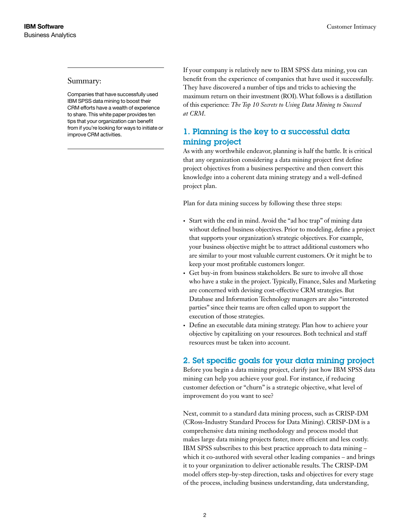#### Summary:

Companies that have successfully used IBM SPSS data mining to boost their CRM efforts have a wealth of experience to share. This white paper provides ten tips that your organization can benefit from if you're looking for ways to initiate or improve CRM activities.

If your company is relatively new to IBM SPSS data mining, you can benefit from the experience of companies that have used it successfully. They have discovered a number of tips and tricks to achieving the maximum return on their investment (ROI). What follows is a distillation of this experience: *The Top 10 Secrets to Using Data Mining to Succeed at CRM*.

# 1. Planning is the key to a successful data mining project

As with any worthwhile endeavor, planning is half the battle. It is critical that any organization considering a data mining project first define project objectives from a business perspective and then convert this knowledge into a coherent data mining strategy and a well-defined project plan.

Plan for data mining success by following these three steps:

- Start with the end in mind. Avoid the "ad hoc trap" of mining data without defined business objectives. Prior to modeling, define a project that supports your organization's strategic objectives. For example, your business objective might be to attract additional customers who are similar to your most valuable current customers. Or it might be to keep your most profitable customers longer.
- Get buy-in from business stakeholders. Be sure to involve all those who have a stake in the project. Typically, Finance, Sales and Marketing are concerned with devising cost-effective CRM strategies. But Database and Information Technology managers are also "interested parties" since their teams are often called upon to support the execution of those strategies.
- Define an executable data mining strategy. Plan how to achieve your objective by capitalizing on your resources. Both technical and staff resources must be taken into account.

## 2. Set specific goals for your data mining project

Before you begin a data mining project, clarify just how IBM SPSS data mining can help you achieve your goal. For instance, if reducing customer defection or "churn" is a strategic objective, what level of improvement do you want to see?

Next, commit to a standard data mining process, such as CRISP-DM (CRoss-Industry Standard Process for Data Mining). CRISP-DM is a comprehensive data mining methodology and process model that makes large data mining projects faster, more efficient and less costly. IBM SPSS subscribes to this best practice approach to data mining – which it co-authored with several other leading companies – and brings it to your organization to deliver actionable results. The CRISP-DM model offers step-by-step direction, tasks and objectives for every stage of the process, including business understanding, data understanding,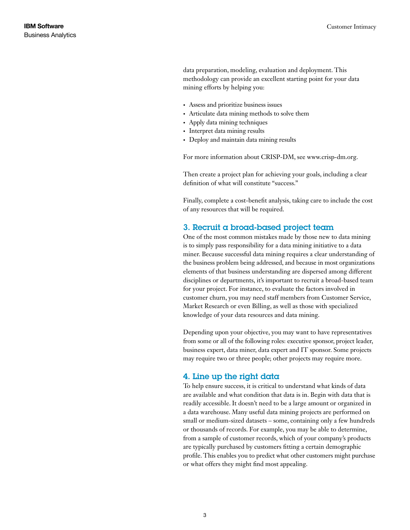data preparation, modeling, evaluation and deployment. This methodology can provide an excellent starting point for your data mining efforts by helping you:

- • Assess and prioritize business issues
- • Articulate data mining methods to solve them
- Apply data mining techniques
- Interpret data mining results
- Deploy and maintain data mining results

For more information about CRISP-DM, see www.crisp-dm.org.

Then create a project plan for achieving your goals, including a clear definition of what will constitute "success."

Finally, complete a cost-benefit analysis, taking care to include the cost of any resources that will be required.

#### 3. Recruit a broad-based project team

One of the most common mistakes made by those new to data mining is to simply pass responsibility for a data mining initiative to a data miner. Because successful data mining requires a clear understanding of the business problem being addressed, and because in most organizations elements of that business understanding are dispersed among different disciplines or departments, it's important to recruit a broad-based team for your project. For instance, to evaluate the factors involved in customer churn, you may need staff members from Customer Service, Market Research or even Billing, as well as those with specialized knowledge of your data resources and data mining.

Depending upon your objective, you may want to have representatives from some or all of the following roles: executive sponsor, project leader, business expert, data miner, data expert and IT sponsor. Some projects may require two or three people; other projects may require more.

#### 4. Line up the right data

To help ensure success, it is critical to understand what kinds of data are available and what condition that data is in. Begin with data that is readily accessible. It doesn't need to be a large amount or organized in a data warehouse. Many useful data mining projects are performed on small or medium-sized datasets – some, containing only a few hundreds or thousands of records. For example, you may be able to determine, from a sample of customer records, which of your company's products are typically purchased by customers fitting a certain demographic profile. This enables you to predict what other customers might purchase or what offers they might find most appealing.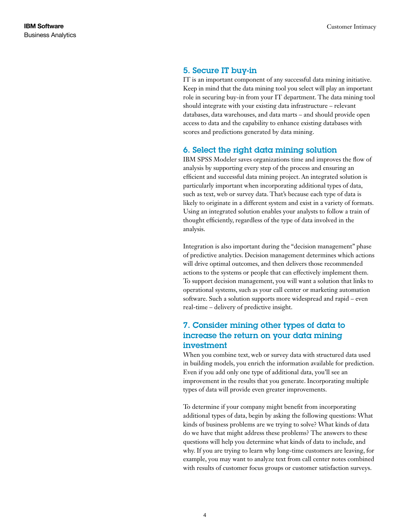#### 5. Secure IT buy-in

IT is an important component of any successful data mining initiative. Keep in mind that the data mining tool you select will play an important role in securing buy-in from your IT department. The data mining tool should integrate with your existing data infrastructure – relevant databases, data warehouses, and data marts – and should provide open access to data and the capability to enhance existing databases with scores and predictions generated by data mining.

#### 6. Select the right data mining solution

IBM SPSS Modeler saves organizations time and improves the flow of analysis by supporting every step of the process and ensuring an efficient and successful data mining project. An integrated solution is particularly important when incorporating additional types of data, such as text, web or survey data. That's because each type of data is likely to originate in a different system and exist in a variety of formats. Using an integrated solution enables your analysts to follow a train of thought efficiently, regardless of the type of data involved in the analysis.

Integration is also important during the "decision management" phase of predictive analytics. Decision management determines which actions will drive optimal outcomes, and then delivers those recommended actions to the systems or people that can effectively implement them. To support decision management, you will want a solution that links to operational systems, such as your call center or marketing automation software. Such a solution supports more widespread and rapid – even real-time – delivery of predictive insight.

# 7. Consider mining other types of data to increase the return on your data mining investment

When you combine text, web or survey data with structured data used in building models, you enrich the information available for prediction. Even if you add only one type of additional data, you'll see an improvement in the results that you generate. Incorporating multiple types of data will provide even greater improvements.

To determine if your company might benefit from incorporating additional types of data, begin by asking the following questions: What kinds of business problems are we trying to solve? What kinds of data do we have that might address these problems? The answers to these questions will help you determine what kinds of data to include, and why. If you are trying to learn why long-time customers are leaving, for example, you may want to analyze text from call center notes combined with results of customer focus groups or customer satisfaction surveys.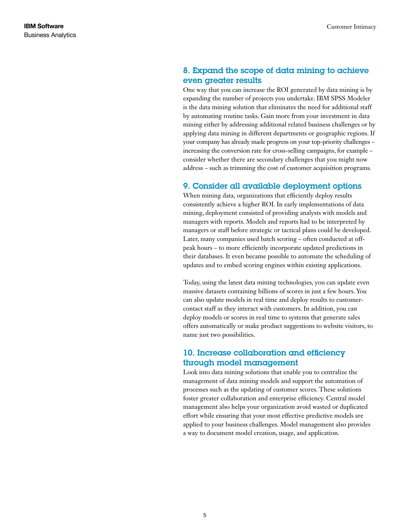# 8. Expand the scope of data mining to achieve even greater results

One way that you can increase the ROI generated by data mining is by expanding the number of projects you undertake. IBM SPSS Modeler is the data mining solution that eliminates the need for additional staff by automating routine tasks. Gain more from your investment in data mining either by addressing additional related business challenges or by applying data mining in different departments or geographic regions. If your company has already made progress on your top-priority challenges – increasing the conversion rate for cross-selling campaigns, for example – consider whether there are secondary challenges that you might now address – such as trimming the cost of customer acquisition programs.

## 9. Consider all available deployment options

When mining data, organizations that efficiently deploy results consistently achieve a higher ROI. In early implementations of data mining, deployment consisted of providing analysts with models and managers with reports. Models and reports had to be interpreted by managers or staff before strategic or tactical plans could be developed. Later, many companies used batch scoring – often conducted at offpeak hours – to more efficiently incorporate updated predictions in their databases. It even became possible to automate the scheduling of updates and to embed scoring engines within existing applications.

Today, using the latest data mining technologies, you can update even massive datasets containing billions of scores in just a few hours. You can also update models in real time and deploy results to customercontact staff as they interact with customers. In addition, you can deploy models or scores in real time to systems that generate sales offers automatically or make product suggestions to website visitors, to name just two possibilities.

## 10. Increase collaboration and efficiency through model management

Look into data mining solutions that enable you to centralize the management of data mining models and support the automation of processes such as the updating of customer scores. These solutions foster greater collaboration and enterprise efficiency. Central model management also helps your organization avoid wasted or duplicated effort while ensuring that your most effective predictive models are applied to your business challenges. Model management also provides a way to document model creation, usage, and application.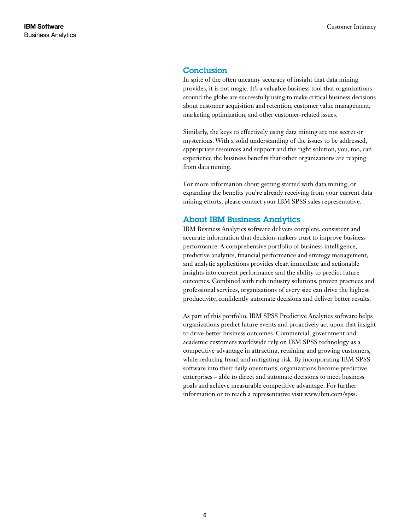#### Conclusion

In spite of the often uncanny accuracy of insight that data mining provides, it is not magic. It's a valuable business tool that organizations around the globe are successfully using to make critical business decisions about customer acquisition and retention, customer value management, marketing optimization, and other customer-related issues.

Similarly, the keys to effectively using data mining are not secret or mysterious. With a solid understanding of the issues to be addressed, appropriate resources and support and the right solution, you, too, can experience the business benefits that other organizations are reaping from data mining.

For more information about getting started with data mining, or expanding the benefits you're already receiving from your current data mining efforts, please contact your IBM SPSS sales representative.

#### About IBM Business Analytics

IBM Business Analytics software delivers complete, consistent and accurate information that decision-makers trust to improve business performance. A comprehensive portfolio of business intelligence, predictive analytics, financial performance and strategy management, and analytic applications provides clear, immediate and actionable insights into current performance and the ability to predict future outcomes. Combined with rich industry solutions, proven practices and professional services, organizations of every size can drive the highest productivity, confidently automate decisions and deliver better results.

As part of this portfolio, IBM SPSS Predictive Analytics software helps organizations predict future events and proactively act upon that insight to drive better business outcomes. Commercial, government and academic customers worldwide rely on IBM SPSS technology as a competitive advantage in attracting, retaining and growing customers, while reducing fraud and mitigating risk. By incorporating IBM SPSS software into their daily operations, organizations become predictive enterprises – able to direct and automate decisions to meet business goals and achieve measurable competitive advantage. For further information or to reach a representative visit www.ibm.com/spss.